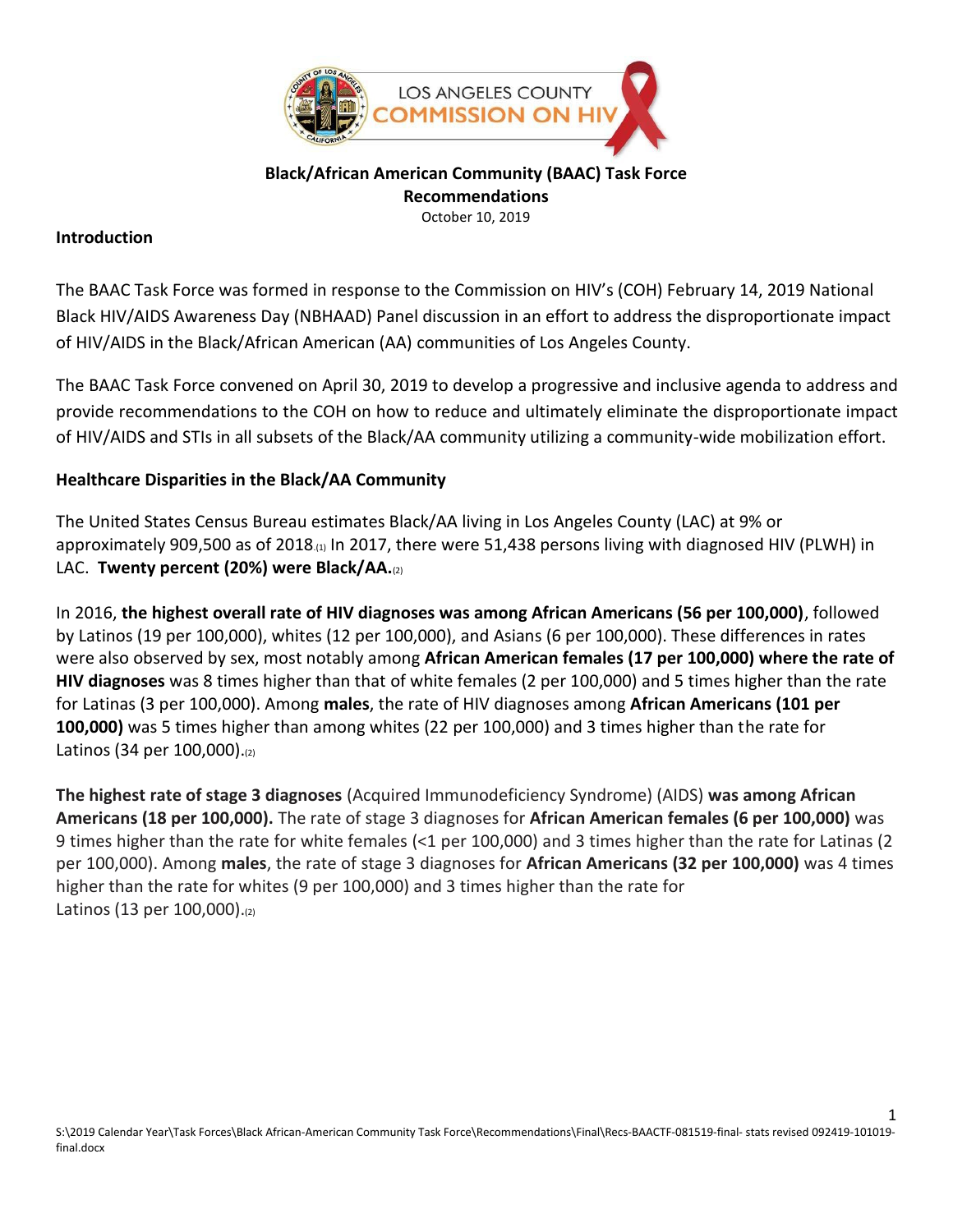

#### **Black/African American Community (BAAC) Task Force Recommendations** October 10, 2019

### **Introduction**

The BAAC Task Force was formed in response to the Commission on HIV's (COH) February 14, 2019 National Black HIV/AIDS Awareness Day (NBHAAD) Panel discussion in an effort to address the disproportionate impact of HIV/AIDS in the Black/African American (AA) communities of Los Angeles County.

The BAAC Task Force convened on April 30, 2019 to develop a progressive and inclusive agenda to address and provide recommendations to the COH on how to reduce and ultimately eliminate the disproportionate impact of HIV/AIDS and STIs in all subsets of the Black/AA community utilizing a community-wide mobilization effort.

# **Healthcare Disparities in the Black/AA Community**

The United States Census Bureau estimates Black/AA living in Los Angeles County (LAC) at 9% or approximately 909,500 as of 2018.(1) In 2017, there were 51,438 persons living with diagnosed HIV (PLWH) in LAC. **Twenty percent (20%) were Black/AA.**(2)

In 2016, **the highest overall rate of HIV diagnoses was among African Americans (56 per 100,000)**, followed by Latinos (19 per 100,000), whites (12 per 100,000), and Asians (6 per 100,000). These differences in rates were also observed by sex, most notably among **African American females (17 per 100,000) where the rate of HIV diagnoses** was 8 times higher than that of white females (2 per 100,000) and 5 times higher than the rate for Latinas (3 per 100,000). Among **males**, the rate of HIV diagnoses among **African Americans (101 per 100,000)** was 5 times higher than among whites (22 per 100,000) and 3 times higher than the rate for Latinos (34 per 100,000).(2)

**The highest rate of stage 3 diagnoses** (Acquired Immunodeficiency Syndrome) (AIDS) **was among African Americans (18 per 100,000).** The rate of stage 3 diagnoses for **African American females (6 per 100,000)** was 9 times higher than the rate for white females (<1 per 100,000) and 3 times higher than the rate for Latinas (2 per 100,000). Among **males**, the rate of stage 3 diagnoses for **African Americans (32 per 100,000)** was 4 times higher than the rate for whites (9 per 100,000) and 3 times higher than the rate for Latinos (13 per 100,000).(2)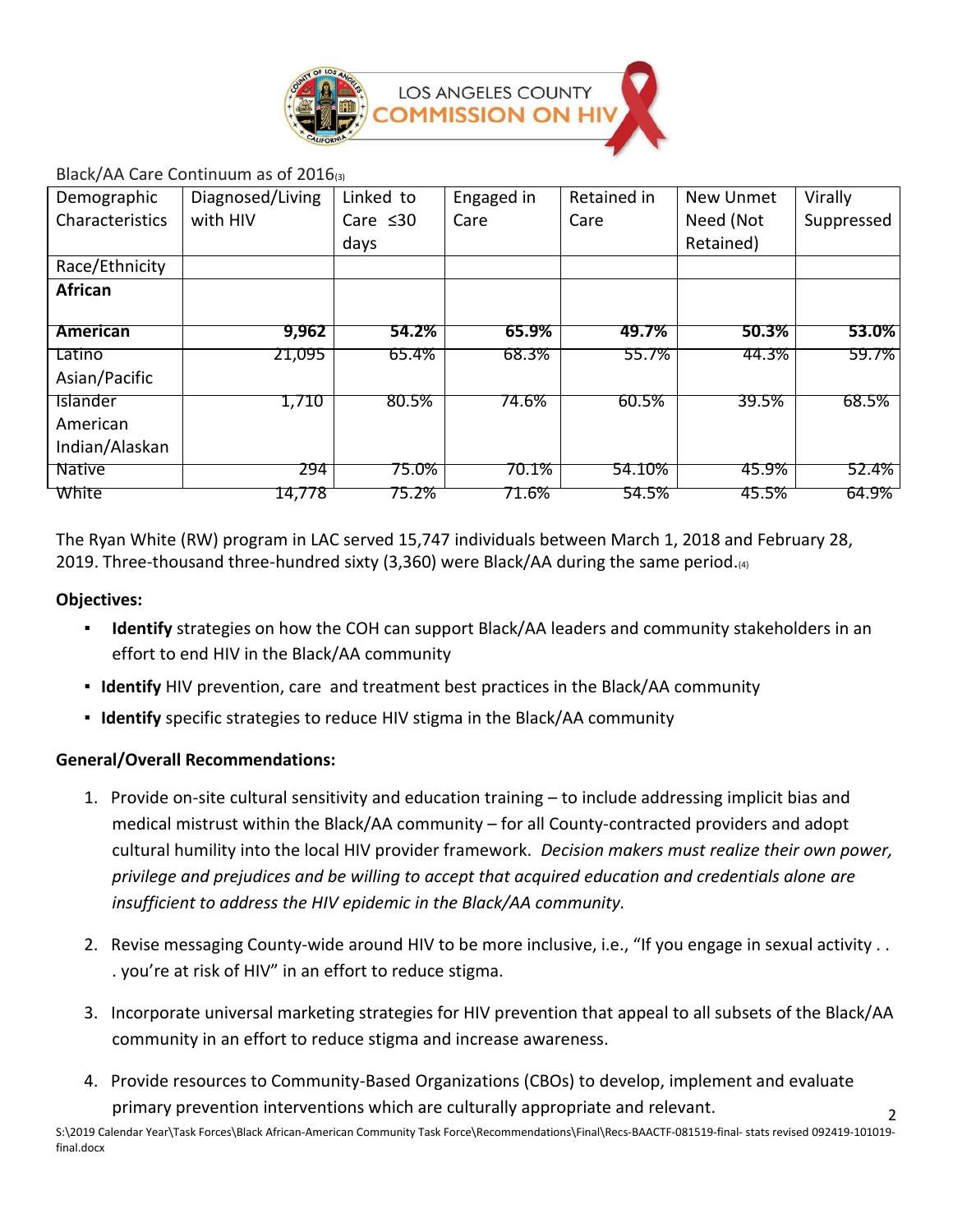

### Black/AA Care Continuum as of 2016(3)

| Demographic     | Diagnosed/Living | Linked to      | Engaged in | Retained in | New Unmet | Virally    |
|-----------------|------------------|----------------|------------|-------------|-----------|------------|
| Characteristics | with HIV         | Care $\leq 30$ | Care       | Care        | Need (Not | Suppressed |
|                 |                  | days           |            |             | Retained) |            |
| Race/Ethnicity  |                  |                |            |             |           |            |
| African         |                  |                |            |             |           |            |
|                 |                  |                |            |             |           |            |
| <b>American</b> | 9,962            | 54.2%          | 65.9%      | 49.7%       | 50.3%     | 53.0%      |
| Latino          | 21,095           | 65.4%          | 68.3%      | 55.7%       | 44.3%     | 59.7%      |
| Asian/Pacific   |                  |                |            |             |           |            |
| Islander        | 1,710            | 80.5%          | 74.6%      | 60.5%       | 39.5%     | 68.5%      |
| American        |                  |                |            |             |           |            |
| Indian/Alaskan  |                  |                |            |             |           |            |
| <b>Native</b>   | 294              | 75.0%          | 70.1%      | 54.10%      | 45.9%     | 52.4%      |
| White           | 14,778           | 75.2%          | 71.6%      | 54.5%       | 45.5%     | 64.9%      |

The Ryan White (RW) program in LAC served 15,747 individuals between March 1, 2018 and February 28, 2019. Three-thousand three-hundred sixty (3,360) were Black/AA during the same period. $\omega$ 

### **Objectives:**

- **Identify** strategies on how the COH can support Black/AA leaders and community stakeholders in an effort to end HIV in the Black/AA community
- **Identify** HIV prevention, care and treatment best practices in the Black/AA community
- **Identify** specific strategies to reduce HIV stigma in the Black/AA community

### **General/Overall Recommendations:**

- 1. Provide on-site cultural sensitivity and education training to include addressing implicit bias and medical mistrust within the Black/AA community – for all County-contracted providers and adopt cultural humility into the local HIV provider framework. *Decision makers must realize their own power, privilege and prejudices and be willing to accept that acquired education and credentials alone are insufficient to address the HIV epidemic in the Black/AA community.*
- 2. Revise messaging County-wide around HIV to be more inclusive, i.e., "If you engage in sexual activity . . . you're at risk of HIV" in an effort to reduce stigma.
- 3. Incorporate universal marketing strategies for HIV prevention that appeal to all subsets of the Black/AA community in an effort to reduce stigma and increase awareness.

 $\overline{\phantom{0}}$ 

4. Provide resources to Community-Based Organizations (CBOs) to develop, implement and evaluate primary prevention interventions which are culturally appropriate and relevant.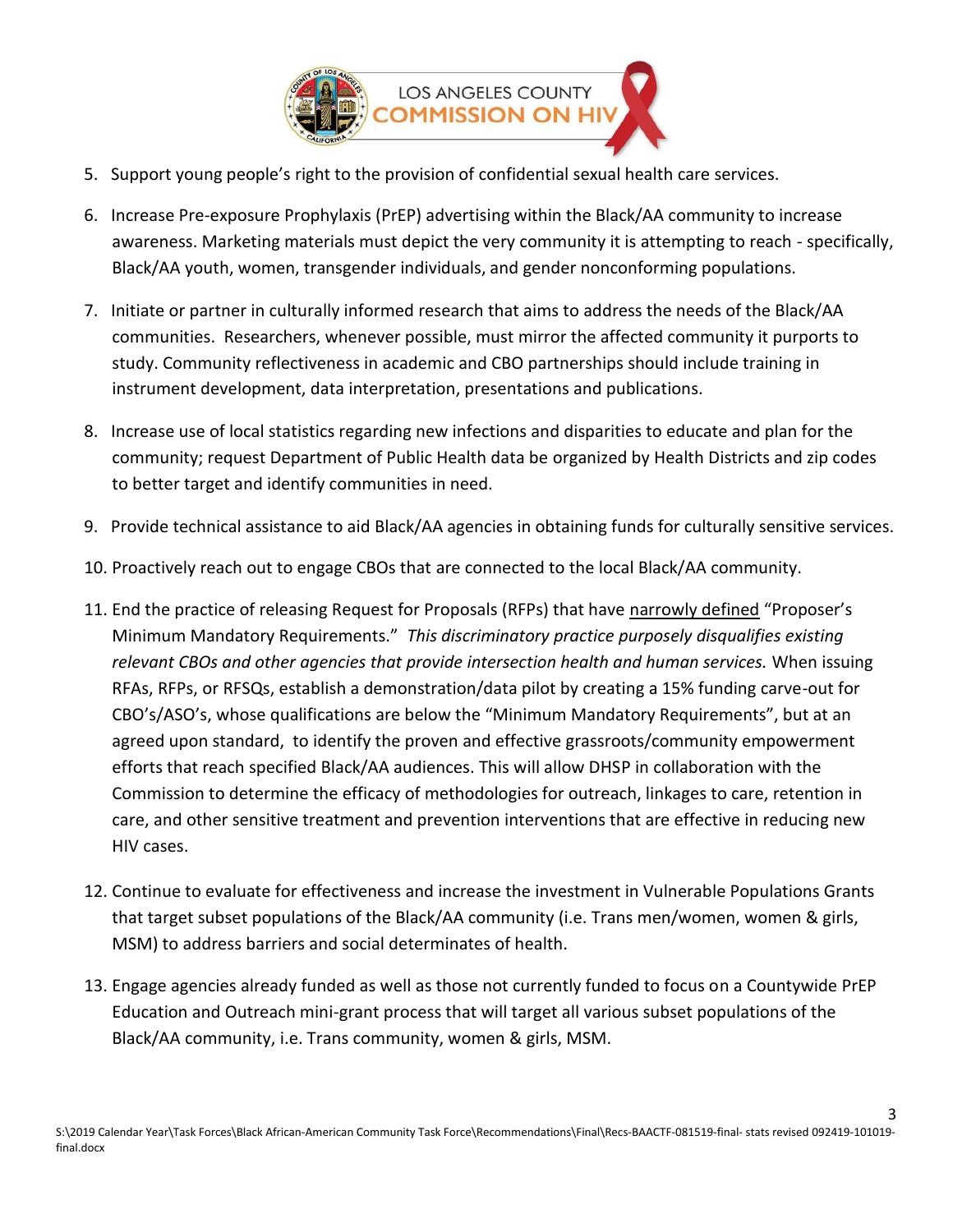

- 5. Support young people's right to the provision of confidential sexual health care services.
- 6. Increase Pre-exposure Prophylaxis (PrEP) advertising within the Black/AA community to increase awareness. Marketing materials must depict the very community it is attempting to reach - specifically, Black/AA youth, women, transgender individuals, and gender nonconforming populations.
- 7. Initiate or partner in culturally informed research that aims to address the needs of the Black/AA communities. Researchers, whenever possible, must mirror the affected community it purports to study. Community reflectiveness in academic and CBO partnerships should include training in instrument development, data interpretation, presentations and publications.
- 8. Increase use of local statistics regarding new infections and disparities to educate and plan for the community; request Department of Public Health data be organized by Health Districts and zip codes to better target and identify communities in need.
- 9. Provide technical assistance to aid Black/AA agencies in obtaining funds for culturally sensitive services.
- 10. Proactively reach out to engage CBOs that are connected to the local Black/AA community.
- 11. End the practice of releasing Request for Proposals (RFPs) that have narrowly defined "Proposer's Minimum Mandatory Requirements." *This discriminatory practice purposely disqualifies existing relevant CBOs and other agencies that provide intersection health and human services.* When issuing RFAs, RFPs, or RFSQs, establish a demonstration/data pilot by creating a 15% funding carve-out for CBO's/ASO's, whose qualifications are below the "Minimum Mandatory Requirements", but at an agreed upon standard, to identify the proven and effective grassroots/community empowerment efforts that reach specified Black/AA audiences. This will allow DHSP in collaboration with the Commission to determine the efficacy of methodologies for outreach, linkages to care, retention in care, and other sensitive treatment and prevention interventions that are effective in reducing new HIV cases.
- 12. Continue to evaluate for effectiveness and increase the investment in Vulnerable Populations Grants that target subset populations of the Black/AA community (i.e. Trans men/women, women & girls, MSM) to address barriers and social determinates of health.
- 13. Engage agencies already funded as well as those not currently funded to focus on a Countywide PrEP Education and Outreach mini-grant process that will target all various subset populations of the Black/AA community, i.e. Trans community, women & girls, MSM.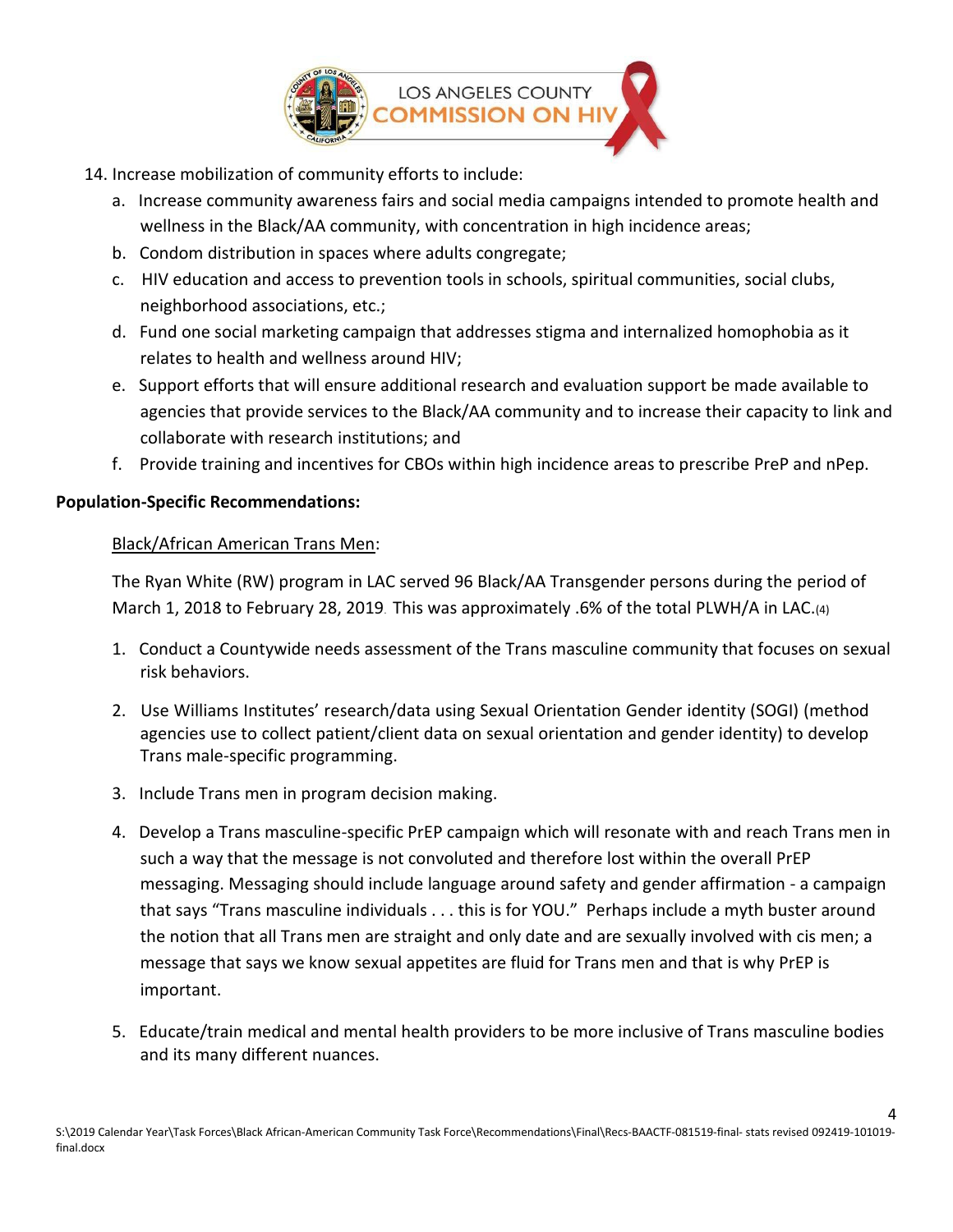

- 14. Increase mobilization of community efforts to include:
	- a. Increase community awareness fairs and social media campaigns intended to promote health and wellness in the Black/AA community, with concentration in high incidence areas;
	- b. Condom distribution in spaces where adults congregate;
	- c. HIV education and access to prevention tools in schools, spiritual communities, social clubs, neighborhood associations, etc.;
	- d. Fund one social marketing campaign that addresses stigma and internalized homophobia as it relates to health and wellness around HIV;
	- e. Support efforts that will ensure additional research and evaluation support be made available to agencies that provide services to the Black/AA community and to increase their capacity to link and collaborate with research institutions; and
	- f. Provide training and incentives for CBOs within high incidence areas to prescribe PreP and nPep.

# **Population-Specific Recommendations:**

## Black/African American Trans Men:

The Ryan White (RW) program in LAC served 96 Black/AA Transgender persons during the period of March 1, 2018 to February 28, 2019. This was approximately .6% of the total PLWH/A in LAC.(4)

- 1. Conduct a Countywide needs assessment of the Trans masculine community that focuses on sexual risk behaviors.
- 2. Use Williams Institutes' research/data using Sexual Orientation Gender identity (SOGI) (method agencies use to collect patient/client data on sexual orientation and gender identity) to develop Trans male-specific programming.
- 3. Include Trans men in program decision making.
- 4. Develop a Trans masculine-specific PrEP campaign which will resonate with and reach Trans men in such a way that the message is not convoluted and therefore lost within the overall PrEP messaging. Messaging should include language around safety and gender affirmation - a campaign that says "Trans masculine individuals . . . this is for YOU." Perhaps include a myth buster around the notion that all Trans men are straight and only date and are sexually involved with cis men; a message that says we know sexual appetites are fluid for Trans men and that is why PrEP is important.
- 5. Educate/train medical and mental health providers to be more inclusive of Trans masculine bodies and its many different nuances.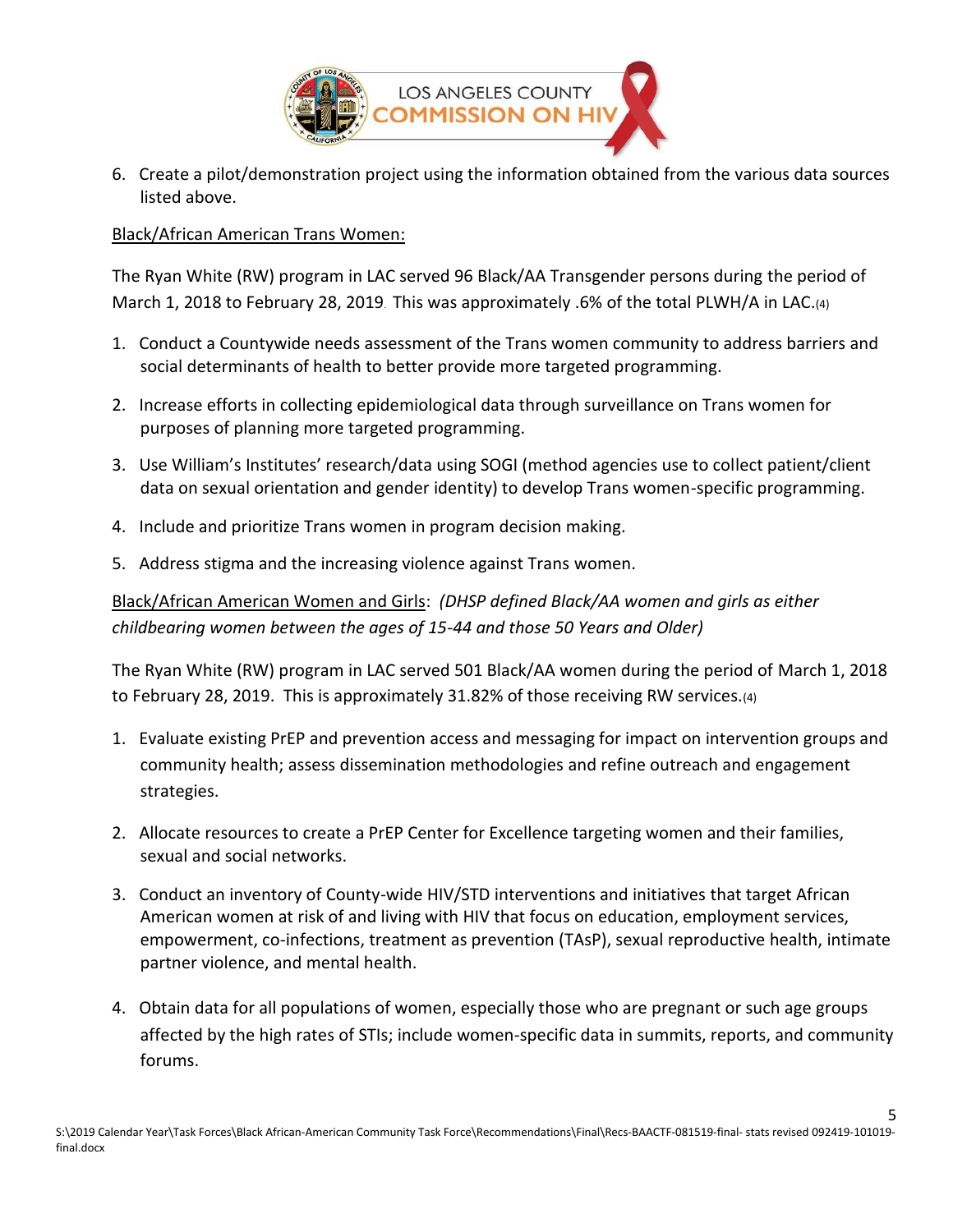

6. Create a pilot/demonstration project using the information obtained from the various data sources listed above.

## Black/African American Trans Women:

The Ryan White (RW) program in LAC served 96 Black/AA Transgender persons during the period of March 1, 2018 to February 28, 2019. This was approximately .6% of the total PLWH/A in LAC.(4)

- 1. Conduct a Countywide needs assessment of the Trans women community to address barriers and social determinants of health to better provide more targeted programming.
- 2. Increase efforts in collecting epidemiological data through surveillance on Trans women for purposes of planning more targeted programming.
- 3. Use William's Institutes' research/data using SOGI (method agencies use to collect patient/client data on sexual orientation and gender identity) to develop Trans women-specific programming.
- 4. Include and prioritize Trans women in program decision making.
- 5. Address stigma and the increasing violence against Trans women.

Black/African American Women and Girls: *(DHSP defined Black/AA women and girls as either childbearing women between the ages of 15-44 and those 50 Years and Older)*

The Ryan White (RW) program in LAC served 501 Black/AA women during the period of March 1, 2018 to February 28, 2019. This is approximately 31.82% of those receiving RW services.(4)

- 1. Evaluate existing PrEP and prevention access and messaging for impact on intervention groups and community health; assess dissemination methodologies and refine outreach and engagement strategies.
- 2. Allocate resources to create a PrEP Center for Excellence targeting women and their families, sexual and social networks.
- 3. Conduct an inventory of County-wide HIV/STD interventions and initiatives that target African American women at risk of and living with HIV that focus on education, employment services, empowerment, co-infections, treatment as prevention (TAsP), sexual reproductive health, intimate partner violence, and mental health.
- 4. Obtain data for all populations of women, especially those who are pregnant or such age groups affected by the high rates of STIs; include women-specific data in summits, reports, and community forums.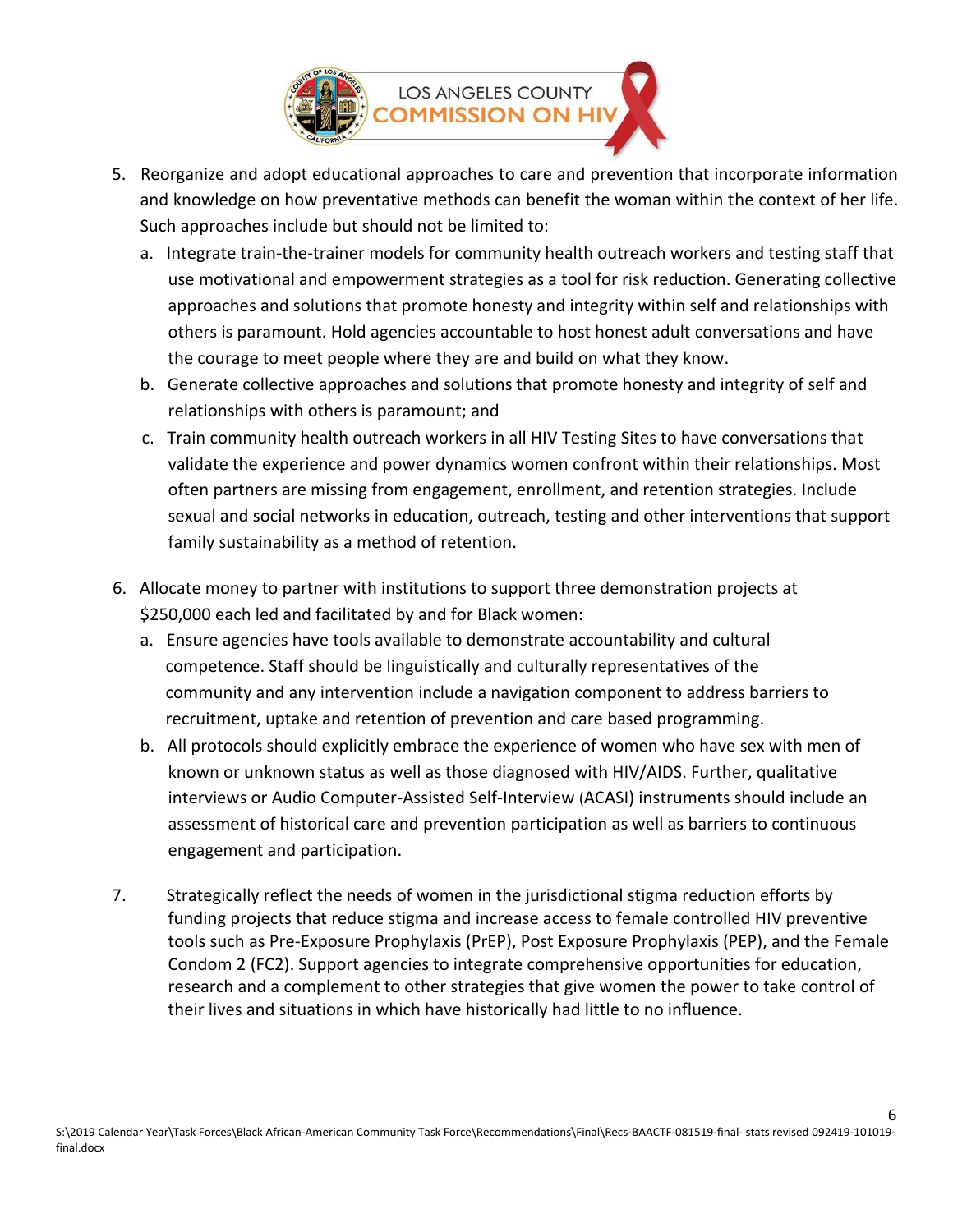

- 5. Reorganize and adopt educational approaches to care and prevention that incorporate information and knowledge on how preventative methods can benefit the woman within the context of her life. Such approaches include but should not be limited to:
	- a. Integrate train-the-trainer models for community health outreach workers and testing staff that use motivational and empowerment strategies as a tool for risk reduction. Generating collective approaches and solutions that promote honesty and integrity within self and relationships with others is paramount. Hold agencies accountable to host honest adult conversations and have the courage to meet people where they are and build on what they know.
	- b. Generate collective approaches and solutions that promote honesty and integrity of self and relationships with others is paramount; and
	- c. Train community health outreach workers in all HIV Testing Sites to have conversations that validate the experience and power dynamics women confront within their relationships. Most often partners are missing from engagement, enrollment, and retention strategies. Include sexual and social networks in education, outreach, testing and other interventions that support family sustainability as a method of retention.
- 6. Allocate money to partner with institutions to support three demonstration projects at \$250,000 each led and facilitated by and for Black women:
	- a. Ensure agencies have tools available to demonstrate accountability and cultural competence. Staff should be linguistically and culturally representatives of the community and any intervention include a navigation component to address barriers to recruitment, uptake and retention of prevention and care based programming.
	- b. All protocols should explicitly embrace the experience of women who have sex with men of known or unknown status as well as those diagnosed with HIV/AIDS. Further, qualitative interviews or Audio Computer-Assisted Self-Interview (ACASI) instruments should include an assessment of historical care and prevention participation as well as barriers to continuous engagement and participation.
- 7. Strategically reflect the needs of women in the jurisdictional stigma reduction efforts by funding projects that reduce stigma and increase access to female controlled HIV preventive tools such as Pre-Exposure Prophylaxis (PrEP), Post Exposure Prophylaxis (PEP), and the Female Condom 2 (FC2). Support agencies to integrate comprehensive opportunities for education, research and a complement to other strategies that give women the power to take control of their lives and situations in which have historically had little to no influence.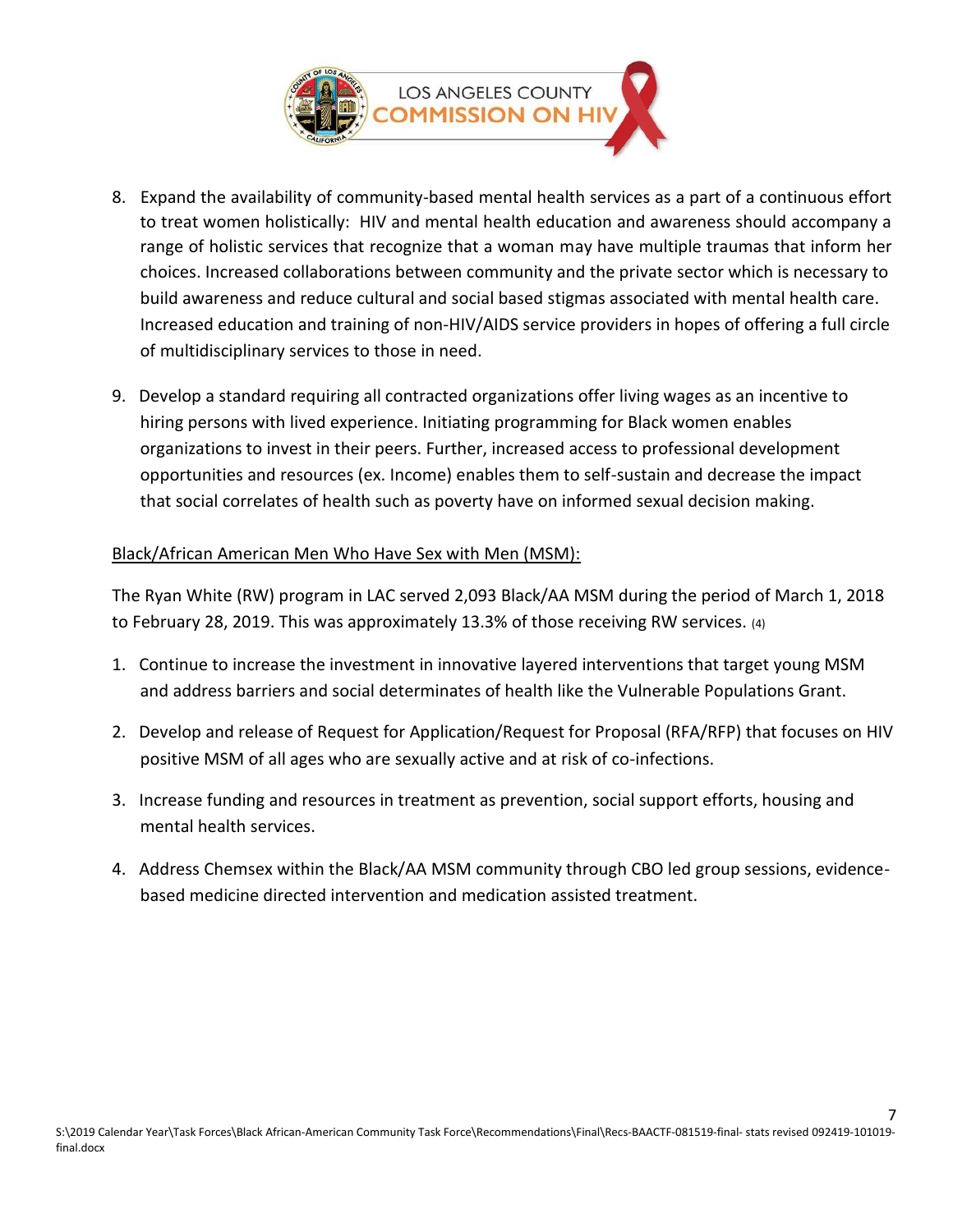

- 8. Expand the availability of community-based mental health services as a part of a continuous effort to treat women holistically: HIV and mental health education and awareness should accompany a range of holistic services that recognize that a woman may have multiple traumas that inform her choices. Increased collaborations between community and the private sector which is necessary to build awareness and reduce cultural and social based stigmas associated with mental health care. Increased education and training of non-HIV/AIDS service providers in hopes of offering a full circle of multidisciplinary services to those in need.
- 9. Develop a standard requiring all contracted organizations offer living wages as an incentive to hiring persons with lived experience. Initiating programming for Black women enables organizations to invest in their peers. Further, increased access to professional development opportunities and resources (ex. Income) enables them to self-sustain and decrease the impact that social correlates of health such as poverty have on informed sexual decision making.

## Black/African American Men Who Have Sex with Men (MSM):

The Ryan White (RW) program in LAC served 2,093 Black/AA MSM during the period of March 1, 2018 to February 28, 2019. This was approximately 13.3% of those receiving RW services. (4)

- 1. Continue to increase the investment in innovative layered interventions that target young MSM and address barriers and social determinates of health like the Vulnerable Populations Grant.
- 2. Develop and release of Request for Application/Request for Proposal (RFA/RFP) that focuses on HIV positive MSM of all ages who are sexually active and at risk of co-infections.
- 3. Increase funding and resources in treatment as prevention, social support efforts, housing and mental health services.
- 4. Address Chemsex within the Black/AA MSM community through CBO led group sessions, evidencebased medicine directed intervention and medication assisted treatment.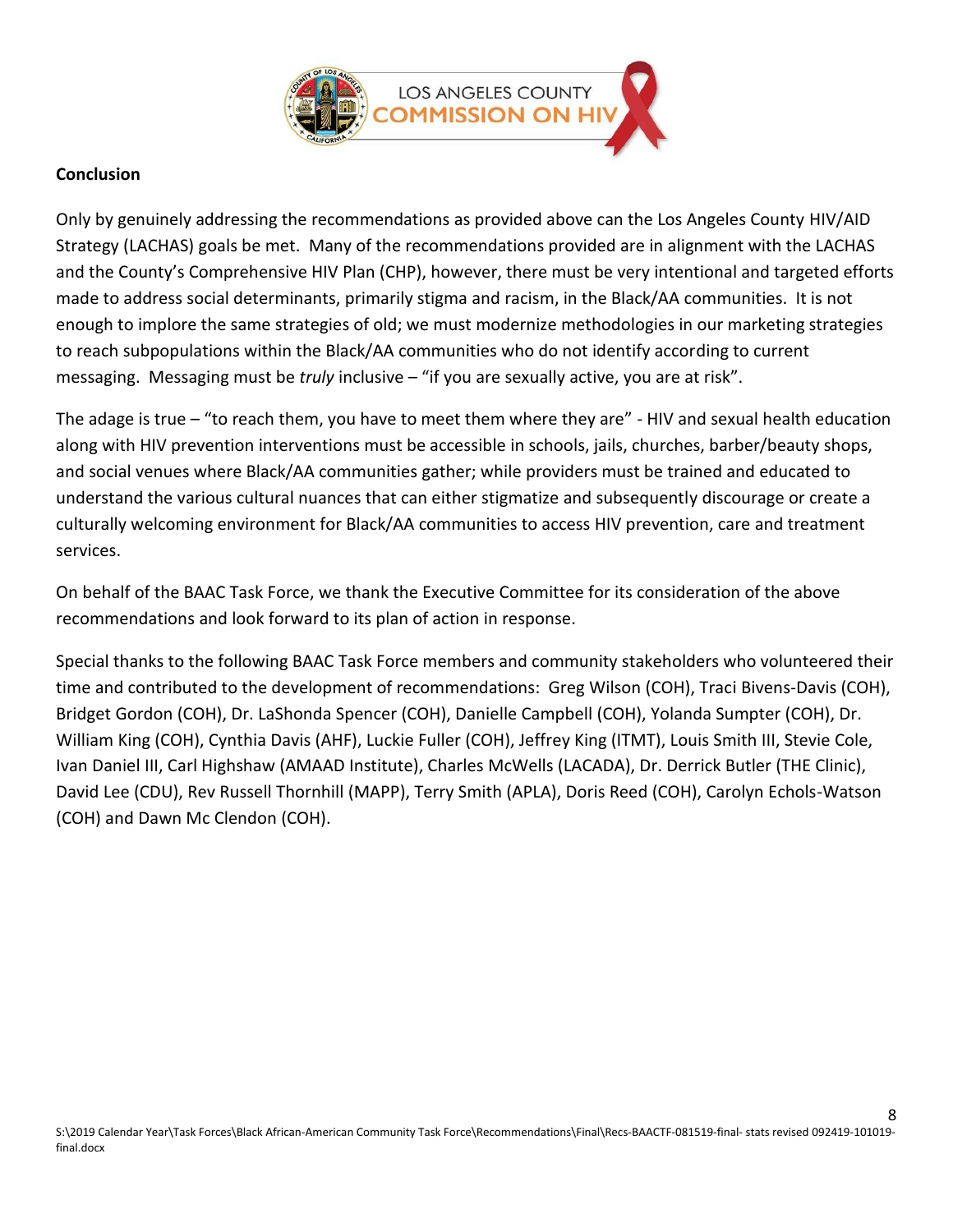

### **Conclusion**

Only by genuinely addressing the recommendations as provided above can the Los Angeles County HIV/AID Strategy (LACHAS) goals be met. Many of the recommendations provided are in alignment with the LACHAS and the County's Comprehensive HIV Plan (CHP), however, there must be very intentional and targeted efforts made to address social determinants, primarily stigma and racism, in the Black/AA communities. It is not enough to implore the same strategies of old; we must modernize methodologies in our marketing strategies to reach subpopulations within the Black/AA communities who do not identify according to current messaging. Messaging must be *truly* inclusive – "if you are sexually active, you are at risk".

The adage is true – "to reach them, you have to meet them where they are" - HIV and sexual health education along with HIV prevention interventions must be accessible in schools, jails, churches, barber/beauty shops, and social venues where Black/AA communities gather; while providers must be trained and educated to understand the various cultural nuances that can either stigmatize and subsequently discourage or create a culturally welcoming environment for Black/AA communities to access HIV prevention, care and treatment services.

On behalf of the BAAC Task Force, we thank the Executive Committee for its consideration of the above recommendations and look forward to its plan of action in response.

Special thanks to the following BAAC Task Force members and community stakeholders who volunteered their time and contributed to the development of recommendations: Greg Wilson (COH), Traci Bivens-Davis (COH), Bridget Gordon (COH), Dr. LaShonda Spencer (COH), Danielle Campbell (COH), Yolanda Sumpter (COH), Dr. William King (COH), Cynthia Davis (AHF), Luckie Fuller (COH), Jeffrey King (ITMT), Louis Smith III, Stevie Cole, Ivan Daniel III, Carl Highshaw (AMAAD Institute), Charles McWells (LACADA), Dr. Derrick Butler (THE Clinic), David Lee (CDU), Rev Russell Thornhill (MAPP), Terry Smith (APLA), Doris Reed (COH), Carolyn Echols-Watson (COH) and Dawn Mc Clendon (COH).